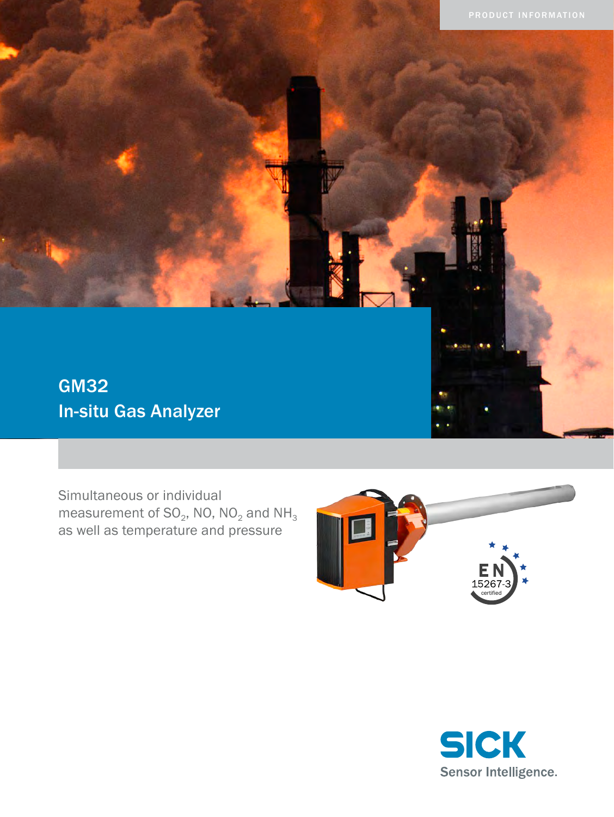GM32 In-situ Gas Analyzer

Simultaneous or individual measurement of  $SO_2$ , NO, NO<sub>2</sub> and NH<sub>3</sub> as well as temperature and pressure



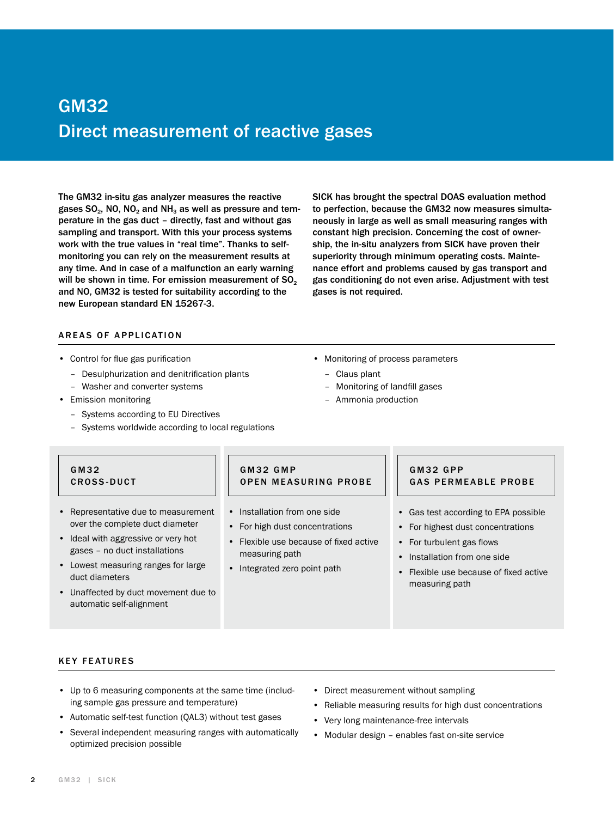# GM32 Direct measurement of reactive gases

The GM32 in-situ gas analyzer measures the reactive gases  $SO_2$ , NO, NO<sub>2</sub> and NH<sub>3</sub> as well as pressure and temperature in the gas duct – directly, fast and without gas sampling and transport. With this your process systems work with the true values in "real time". Thanks to selfmonitoring you can rely on the measurement results at any time. And in case of a malfunction an early warning will be shown in time. For emission measurement of SO<sub>2</sub> and NO, GM32 is tested for suitability according to the new European standard EN 15267-3.

SICK has brought the spectral DOAS evaluation method to perfection, because the GM32 now measures simultaneously in large as well as small measuring ranges with constant high precision. Concerning the cost of ownership, the in-situ analyzers from SICK have proven their superiority through minimum operating costs. Maintenance effort and problems caused by gas transport and gas conditioning do not even arise. Adjustment with test gases is not required.

### AREAS OF APPLICATION

- • Control for flue gas purification
	- Desulphurization and denitrification plants
	- Washer and converter systems
- • Emission monitoring
	- Systems according to EU Directives
	- Systems worldwide according to local regulations
- Monitoring of process parameters
	- Claus plant
	- Monitoring of landfill gases
	- Ammonia production

# G M 3 2 Cr oss -DUCT

- • Representative due to measurement over the complete duct diameter
- Ideal with aggressive or very hot gases – no duct installations
- • Lowest measuring ranges for large duct diameters
- Unaffected by duct movement due to automatic self-alignment

## G M 32 G M P OPEN MEASURING PROBE

- Installation from one side
- • For high dust concentrations
- • Flexible use because of fixed active measuring path
- Integrated zero point path

#### G M 32 GPP GAS PERMEABLE PROBE

- • Gas test according to EPA possible
- • For highest dust concentrations
- For turbulent gas flows
- Installation from one side
- • Flexible use because of fixed active measuring path

#### KEY FEATURES

- Up to 6 measuring components at the same time (including sample gas pressure and temperature)
- • Automatic self-test function (QAL3) without test gases
- • Several independent measuring ranges with automatically optimized precision possible
- • Direct measurement without sampling
- Reliable measuring results for high dust concentrations
- • Very long maintenance-free intervals
- Modular design enables fast on-site service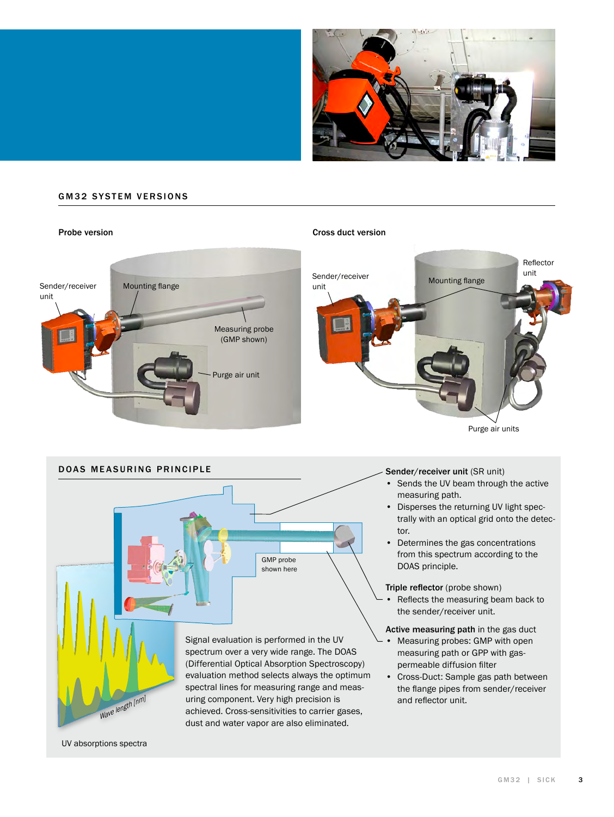

#### **GM32 SYSTEM VERSIONS**





- Sends the UV beam through the active measuring path.
- • Disperses the returning UV light spectrally with an optical grid onto the detector.
- • Determines the gas concentrations from this spectrum according to the DOAS principle.

Triple reflector (probe shown)

Reflects the measuring beam back to the sender/receiver unit.

Active measuring path in the gas duct

- Measuring probes: GMP with open measuring path or GPP with gaspermeable diffusion filter
- • Cross-Duct: Sample gas path between the flange pipes from sender/receiver and reflector unit.

UV absorptions spectra